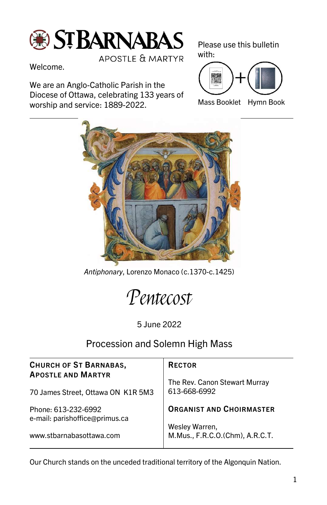

APOSTLE & MARTYR

Welcome.

We are an Anglo-Catholic Parish in the Diocese of Ottawa, celebrating 133 years of worship and service: 1889-2022.

Please use this bulletin with:



Mass Booklet Hymn Book



Antiphonary, Lorenzo Monaco (c.1370-c.1425)

Pentecost

5 June 2022

# Procession and Solemn High Mass

| <b>CHURCH OF ST BARNABAS,</b><br><b>APOSTLE AND MARTYR</b> | <b>RECTOR</b>                                     |
|------------------------------------------------------------|---------------------------------------------------|
| 70 James Street, Ottawa ON K1R 5M3                         | The Rev. Canon Stewart Murray<br>613-668-6992     |
| Phone: 613-232-6992<br>e-mail: parishoffice@primus.ca      | <b>ORGANIST AND CHOIRMASTER</b>                   |
| www.stbarnabasottawa.com                                   | Wesley Warren,<br>M.Mus., F.R.C.O.(Chm), A.R.C.T. |

Our Church stands on the unceded traditional territory of the Algonquin Nation.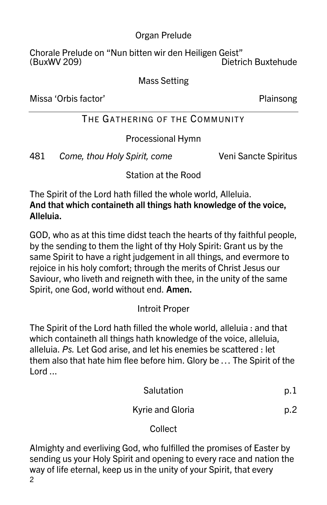#### Organ Prelude

Chorale Prelude on "Nun bitten wir den Heiligen Geist" Dietrich Buxtehude

#### Mass Setting

Missa 'Orbis factor' Plainsong

#### THE GATHERING OF THE COMMUNITY

Processional Hymn

481 Come, thou Holy Spirit, come Veni Sancte Spiritus

Station at the Rood

The Spirit of the Lord hath filled the whole world, Alleluia. And that which containeth all things hath knowledge of the voice, Alleluia.

GOD, who as at this time didst teach the hearts of thy faithful people, by the sending to them the light of thy Holy Spirit: Grant us by the same Spirit to have a right judgement in all things, and evermore to rejoice in his holy comfort; through the merits of Christ Jesus our Saviour, who liveth and reigneth with thee, in the unity of the same Spirit, one God, world without end. Amen.

### Introit Proper

The Spirit of the Lord hath filled the whole world, alleluia : and that which containeth all things hath knowledge of the voice, alleluia, alleluia. Ps. Let God arise, and let his enemies be scattered : let them also that hate him flee before him. Glory be … The Spirit of the Lord ...

| Salutation |  |
|------------|--|
|            |  |

Kyrie and Gloria **p.2** 

Collect

2 Almighty and everliving God, who fulfilled the promises of Easter by sending us your Holy Spirit and opening to every race and nation the way of life eternal, keep us in the unity of your Spirit, that every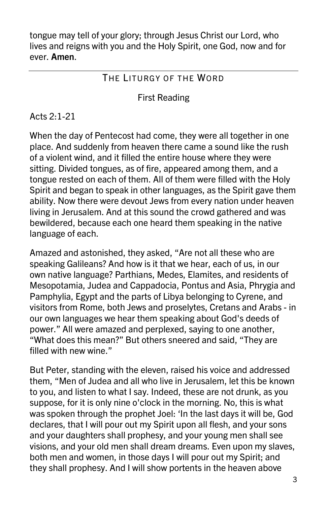tongue may tell of your glory; through Jesus Christ our Lord, who lives and reigns with you and the Holy Spirit, one God, now and for ever. Amen.

## THE LITURGY OF THE WORD

First Reading

### Acts 2:1-21

When the day of Pentecost had come, they were all together in one place. And suddenly from heaven there came a sound like the rush of a violent wind, and it filled the entire house where they were sitting. Divided tongues, as of fire, appeared among them, and a tongue rested on each of them. All of them were filled with the Holy Spirit and began to speak in other languages, as the Spirit gave them ability. Now there were devout Jews from every nation under heaven living in Jerusalem. And at this sound the crowd gathered and was bewildered, because each one heard them speaking in the native language of each.

Amazed and astonished, they asked, "Are not all these who are speaking Galileans? And how is it that we hear, each of us, in our own native language? Parthians, Medes, Elamites, and residents of Mesopotamia, Judea and Cappadocia, Pontus and Asia, Phrygia and Pamphylia, Egypt and the parts of Libya belonging to Cyrene, and visitors from Rome, both Jews and proselytes, Cretans and Arabs - in our own languages we hear them speaking about God's deeds of power." All were amazed and perplexed, saying to one another, "What does this mean?" But others sneered and said, "They are filled with new wine."

But Peter, standing with the eleven, raised his voice and addressed them, "Men of Judea and all who live in Jerusalem, let this be known to you, and listen to what I say. Indeed, these are not drunk, as you suppose, for it is only nine o'clock in the morning. No, this is what was spoken through the prophet Joel: 'In the last days it will be, God declares, that I will pour out my Spirit upon all flesh, and your sons and your daughters shall prophesy, and your young men shall see visions, and your old men shall dream dreams. Even upon my slaves, both men and women, in those days I will pour out my Spirit; and they shall prophesy. And I will show portents in the heaven above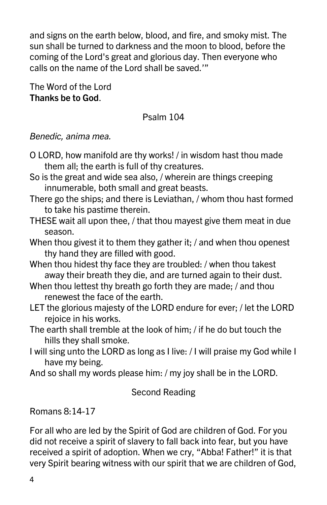and signs on the earth below, blood, and fire, and smoky mist. The sun shall be turned to darkness and the moon to blood, before the coming of the Lord's great and glorious day. Then everyone who calls on the name of the Lord shall be saved.'"

The Word of the Lord Thanks be to God.

### Psalm 104

#### Benedic, anima mea.

- O LORD, how manifold are thy works! / in wisdom hast thou made them all; the earth is full of thy creatures.
- So is the great and wide sea also, / wherein are things creeping innumerable, both small and great beasts.
- There go the ships; and there is Leviathan, / whom thou hast formed to take his pastime therein.
- THESE wait all upon thee, / that thou mayest give them meat in due season.
- When thou givest it to them they gather it; / and when thou openest thy hand they are filled with good.
- When thou hidest thy face they are troubled: / when thou takest away their breath they die, and are turned again to their dust.
- When thou lettest thy breath go forth they are made; / and thou renewest the face of the earth.
- LET the glorious majesty of the LORD endure for ever; / let the LORD rejoice in his works.
- The earth shall tremble at the look of him; / if he do but touch the hills they shall smoke.
- I will sing unto the LORD as long as I live: / I will praise my God while I have my being.
- And so shall my words please him: / my joy shall be in the LORD.

### Second Reading

Romans 8:14-17

For all who are led by the Spirit of God are children of God. For you did not receive a spirit of slavery to fall back into fear, but you have received a spirit of adoption. When we cry, "Abba! Father!" it is that very Spirit bearing witness with our spirit that we are children of God,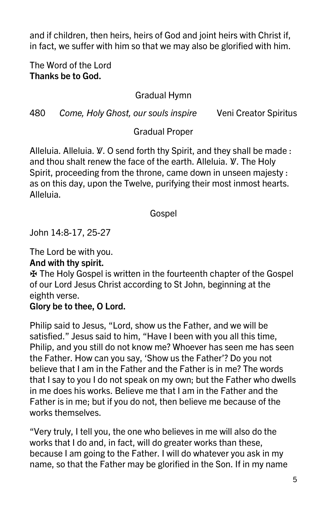and if children, then heirs, heirs of God and joint heirs with Christ if, in fact, we suffer with him so that we may also be glorified with him.

The Word of the Lord Thanks be to God.

Gradual Hymn

480 Come, Holy Ghost, our souls inspire Veni Creator Spiritus

Gradual Proper

Alleluia. Alleluia. *W.* O send forth thy Spirit, and they shall be made: and thou shalt renew the face of the earth. Alleluia. *W*. The Holy Spirit, proceeding from the throne, came down in unseen majesty : as on this day, upon the Twelve, purifying their most inmost hearts. Alleluia.

Gospel

John 14:8-17, 25-27

The Lord be with you.

#### And with thy spirit.

✠ The Holy Gospel is written in the fourteenth chapter of the Gospel of our Lord Jesus Christ according to St John, beginning at the eighth verse.

#### Glory be to thee, O Lord.

Philip said to Jesus, "Lord, show us the Father, and we will be satisfied." Jesus said to him, "Have I been with you all this time, Philip, and you still do not know me? Whoever has seen me has seen the Father. How can you say, 'Show us the Father'? Do you not believe that I am in the Father and the Father is in me? The words that I say to you I do not speak on my own; but the Father who dwells in me does his works. Believe me that I am in the Father and the Father is in me; but if you do not, then believe me because of the works themselves.

"Very truly, I tell you, the one who believes in me will also do the works that I do and, in fact, will do greater works than these, because I am going to the Father. I will do whatever you ask in my name, so that the Father may be glorified in the Son. If in my name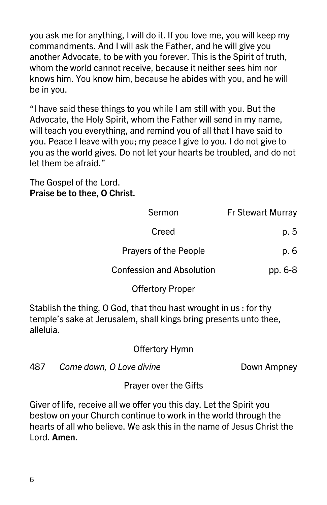you ask me for anything, I will do it. If you love me, you will keep my commandments. And I will ask the Father, and he will give you another Advocate, to be with you forever. This is the Spirit of truth, whom the world cannot receive, because it neither sees him nor knows him. You know him, because he abides with you, and he will be in you.

"I have said these things to you while I am still with you. But the Advocate, the Holy Spirit, whom the Father will send in my name, will teach you everything, and remind you of all that I have said to you. Peace I leave with you; my peace I give to you. I do not give to you as the world gives. Do not let your hearts be troubled, and do not let them be afraid."

The Gospel of the Lord. Praise be to thee, O Christ.

| Sermon                           | <b>Fr Stewart Murray</b> |
|----------------------------------|--------------------------|
| Creed                            | p. 5                     |
| Prayers of the People            | p. 6                     |
| <b>Confession and Absolution</b> | pp. 6-8                  |
| <b>Offertory Proper</b>          |                          |
|                                  |                          |

Stablish the thing, O God, that thou hast wrought in us : for thy temple's sake at Jerusalem, shall kings bring presents unto thee, alleluia.

Offertory Hymn

| Down Ampney |
|-------------|
|             |

Prayer over the Gifts

Giver of life, receive all we offer you this day. Let the Spirit you bestow on your Church continue to work in the world through the hearts of all who believe. We ask this in the name of Jesus Christ the Lord. Amen.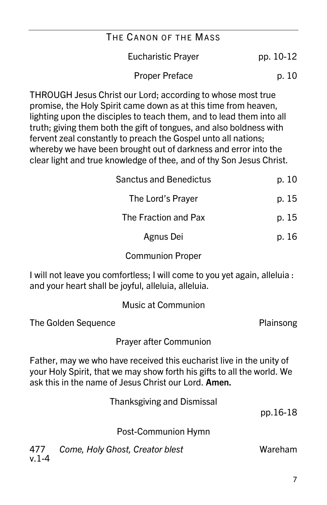### THE CANON OF THE MASS

| <b>Eucharistic Prayer</b> | pp. 10-12 |
|---------------------------|-----------|
|---------------------------|-----------|

Proper Preface p. 10

THROUGH Jesus Christ our Lord; according to whose most true promise, the Holy Spirit came down as at this time from heaven, lighting upon the disciples to teach them, and to lead them into all truth; giving them both the gift of tongues, and also boldness with fervent zeal constantly to preach the Gospel unto all nations; whereby we have been brought out of darkness and error into the clear light and true knowledge of thee, and of thy Son Jesus Christ.

| <b>Sanctus and Benedictus</b> | p. 10 |
|-------------------------------|-------|
| The Lord's Prayer             | p. 15 |
| The Fraction and Pax          | p. 15 |
| Agnus Dei                     | p. 16 |
|                               |       |

Communion Proper

I will not leave you comfortless; I will come to you yet again, alleluia : and your heart shall be joyful, alleluia, alleluia.

Music at Communion

The Golden Sequence **Plainsong** 

v.1-4

Prayer after Communion

Father, may we who have received this eucharist live in the unity of your Holy Spirit, that we may show forth his gifts to all the world. We ask this in the name of Jesus Christ our Lord. Amen.

| ash this in the name of Jesus Officit our Lord. Allien. |                                   |          |
|---------------------------------------------------------|-----------------------------------|----------|
|                                                         | <b>Thanksgiving and Dismissal</b> | pp.16-18 |
|                                                         | Post-Communion Hymn               |          |
| 477                                                     | Come, Holy Ghost, Creator blest   | Wareham  |